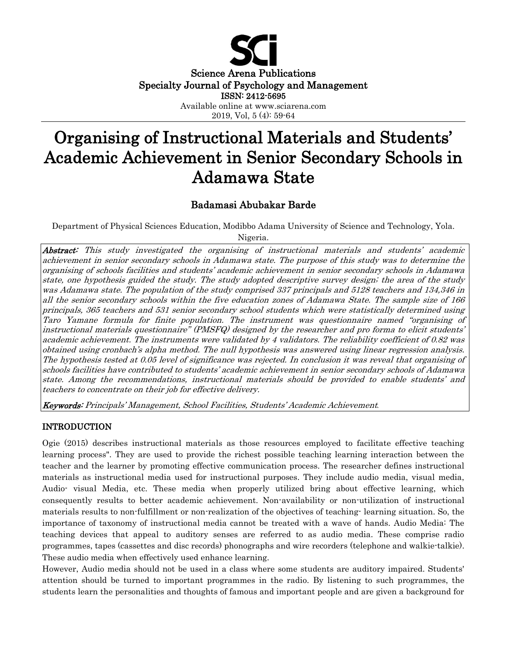

Science Arena Publications Specialty Journal of Psychology and Management ISSN: 2412-5695

Available online at www.sciarena.com 2019, Vol, 5 (4): 59-64

# Organising of Instructional Materials and Students' Academic Achievement in Senior Secondary Schools in Adamawa State

## Badamasi Abubakar Barde

Department of Physical Sciences Education, Modibbo Adama University of Science and Technology, Yola.

Nigeria.

Abstract: This study investigated the organising of instructional materials and students' academic achievement in senior secondary schools in Adamawa state. The purpose of this study was to determine the organising of schools facilities and students' academic achievement in senior secondary schools in Adamawa state, one hypothesis guided the study. The study adopted descriptive survey design; the area of the study was Adamawa state. The population of the study comprised 337 principals and 5128 teachers and 134,346 in all the senior secondary schools within the five education zones of Adamawa State. The sample size of 166 principals, 365 teachers and 531 senior secondary school students which were statistically determined using Taro Yamane formula for finite population. The instrument was questionnaire named "organising of instructional materials questionnaire" (PMSFQ) designed by the researcher and pro forma to elicit students' academic achievement. The instruments were validated by 4 validators. The reliability coefficient of 0.82 was obtained using cronbach's alpha method. The null hypothesis was answered using linear regression analysis. The hypothesis tested at 0.05 level of significance was rejected. In conclusion it was reveal that organising of schools facilities have contributed to students' academic achievement in senior secondary schools of Adamawa state. Among the recommendations, instructional materials should be provided to enable students' and teachers to concentrate on their job for effective delivery.

Keywords: Principals' Management, School Facilities, Students' Academic Achievement *.*

## INTRODUCTION

Ogie (2015) describes instructional materials as those resources employed to facilitate effective teaching learning process". They are used to provide the richest possible teaching learning interaction between the teacher and the learner by promoting effective communication process. The researcher defines instructional materials as instructional media used for instructional purposes. They include audio media, visual media, Audio- visual Media, etc. These media when properly utilized bring about effective learning, which consequently results to better academic achievement. Non-availability or non-utilization of instructional materials results to non-fulfillment or non-realization of the objectives of teaching- learning situation. So, the importance of taxonomy of instructional media cannot be treated with a wave of hands. Audio Media: The teaching devices that appeal to auditory senses are referred to as audio media. These comprise radio programmes, tapes (cassettes and disc records) phonographs and wire recorders (telephone and walkie-talkie). These audio media when effectively used enhance learning.

However, Audio media should not be used in a class where some students are auditory impaired. Students' attention should be turned to important programmes in the radio. By listening to such programmes, the students learn the personalities and thoughts of famous and important people and are given a background for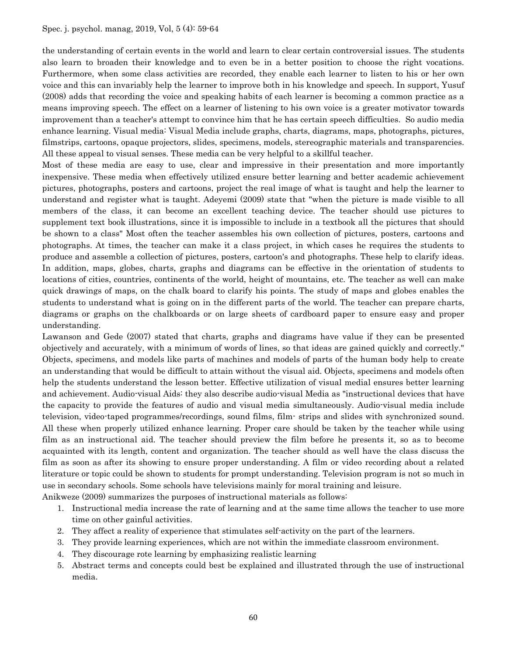the understanding of certain events in the world and learn to clear certain controversial issues. The students also learn to broaden their knowledge and to even be in a better position to choose the right vocations. Furthermore, when some class activities are recorded, they enable each learner to listen to his or her own voice and this can invariably help the learner to improve both in his knowledge and speech. In support, Yusuf (2008) adds that recording the voice and speaking habits of each learner is becoming a common practice as a means improving speech. The effect on a learner of listening to his own voice is a greater motivator towards improvement than a teacher's attempt to convince him that he has certain speech difficulties. So audio media enhance learning. Visual media: Visual Media include graphs, charts, diagrams, maps, photographs, pictures, filmstrips, cartoons, opaque projectors, slides, specimens, models, stereographic materials and transparencies. All these appeal to visual senses. These media can be very helpful to a skillful teacher.

Most of these media are easy to use, clear and impressive in their presentation and more importantly inexpensive. These media when effectively utilized ensure better learning and better academic achievement pictures, photographs, posters and cartoons, project the real image of what is taught and help the learner to understand and register what is taught. Adeyemi (2009) state that "when the picture is made visible to all members of the class, it can become an excellent teaching device. The teacher should use pictures to supplement text book illustrations, since it is impossible to include in a textbook all the pictures that should be shown to a class" Most often the teacher assembles his own collection of pictures, posters, cartoons and photographs. At times, the teacher can make it a class project, in which cases he requires the students to produce and assemble a collection of pictures, posters, cartoon's and photographs. These help to clarify ideas. In addition, maps, globes, charts, graphs and diagrams can be effective in the orientation of students to locations of cities, countries, continents of the world, height of mountains, etc. The teacher as well can make quick drawings of maps, on the chalk board to clarify his points. The study of maps and globes enables the students to understand what is going on in the different parts of the world. The teacher can prepare charts, diagrams or graphs on the chalkboards or on large sheets of cardboard paper to ensure easy and proper understanding.

Lawanson and Gede (2007) stated that charts, graphs and diagrams have value if they can be presented objectively and accurately, with a minimum of words of lines, so that ideas are gained quickly and correctly." Objects, specimens, and models like parts of machines and models of parts of the human body help to create an understanding that would be difficult to attain without the visual aid. Objects, specimens and models often help the students understand the lesson better. Effective utilization of visual medial ensures better learning and achievement. Audio-visual Aids: they also describe audio-visual Media as "instructional devices that have the capacity to provide the features of audio and visual media simultaneously. Audio-visual media include television, video-taped programmes/recordings, sound films, film- strips and slides with synchronized sound. All these when properly utilized enhance learning. Proper care should be taken by the teacher while using film as an instructional aid. The teacher should preview the film before he presents it, so as to become acquainted with its length, content and organization. The teacher should as well have the class discuss the film as soon as after its showing to ensure proper understanding. A film or video recording about a related literature or topic could be shown to students for prompt understanding. Television program is not so much in use in secondary schools. Some schools have televisions mainly for moral training and leisure.

Anikweze (2009) summarizes the purposes of instructional materials as follows:

- 1. Instructional media increase the rate of learning and at the same time allows the teacher to use more time on other gainful activities.
- 2. They affect a reality of experience that stimulates self-activity on the part of the learners.
- 3. They provide learning experiences, which are not within the immediate classroom environment.
- 4. They discourage rote learning by emphasizing realistic learning
- 5. Abstract terms and concepts could best be explained and illustrated through the use of instructional media.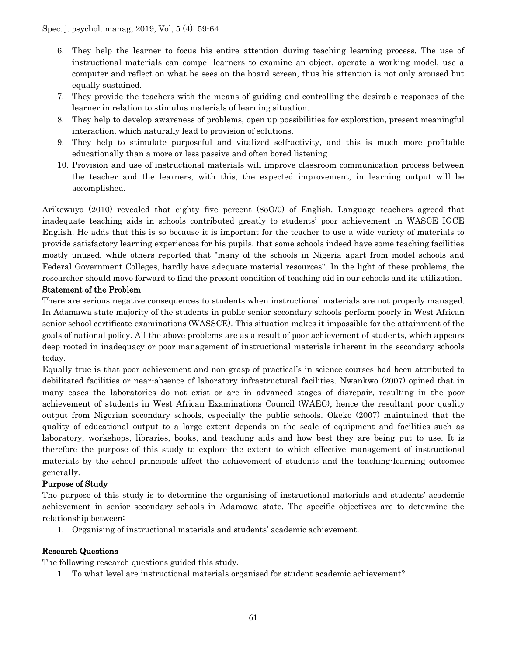- 6. They help the learner to focus his entire attention during teaching learning process. The use of instructional materials can compel learners to examine an object, operate a working model, use a computer and reflect on what he sees on the board screen, thus his attention is not only aroused but equally sustained.
- 7. They provide the teachers with the means of guiding and controlling the desirable responses of the learner in relation to stimulus materials of learning situation.
- 8. They help to develop awareness of problems, open up possibilities for exploration, present meaningful interaction, which naturally lead to provision of solutions.
- 9. They help to stimulate purposeful and vitalized self-activity, and this is much more profitable educationally than a more or less passive and often bored listening
- 10. Provision and use of instructional materials will improve classroom communication process between the teacher and the learners, with this, the expected improvement, in learning output will be accomplished.

Arikewuyo (2010) revealed that eighty five percent (85O/0) of English. Language teachers agreed that inadequate teaching aids in schools contributed greatly to students' poor achievement in WASCE IGCE English. He adds that this is so because it is important for the teacher to use a wide variety of materials to provide satisfactory learning experiences for his pupils. that some schools indeed have some teaching facilities mostly unused, while others reported that "many of the schools in Nigeria apart from model schools and Federal Government Colleges, hardly have adequate material resources". In the light of these problems, the researcher should move forward to find the present condition of teaching aid in our schools and its utilization.

#### Statement of the Problem

There are serious negative consequences to students when instructional materials are not properly managed. In Adamawa state majority of the students in public senior secondary schools perform poorly in West African senior school certificate examinations (WASSCE). This situation makes it impossible for the attainment of the goals of national policy. All the above problems are as a result of poor achievement of students, which appears deep rooted in inadequacy or poor management of instructional materials inherent in the secondary schools today.

Equally true is that poor achievement and non-grasp of practical's in science courses had been attributed to debilitated facilities or near-absence of laboratory infrastructural facilities. Nwankwo (2007) opined that in many cases the laboratories do not exist or are in advanced stages of disrepair, resulting in the poor achievement of students in West African Examinations Council (WAEC), hence the resultant poor quality output from Nigerian secondary schools, especially the public schools. Okeke (2007) maintained that the quality of educational output to a large extent depends on the scale of equipment and facilities such as laboratory, workshops, libraries, books, and teaching aids and how best they are being put to use. It is therefore the purpose of this study to explore the extent to which effective management of instructional materials by the school principals affect the achievement of students and the teaching-learning outcomes generally.

## Purpose of Study

The purpose of this study is to determine the organising of instructional materials and students' academic achievement in senior secondary schools in Adamawa state. The specific objectives are to determine the relationship between;

1. Organising of instructional materials and students' academic achievement.

## Research Questions

The following research questions guided this study.

1. To what level are instructional materials organised for student academic achievement?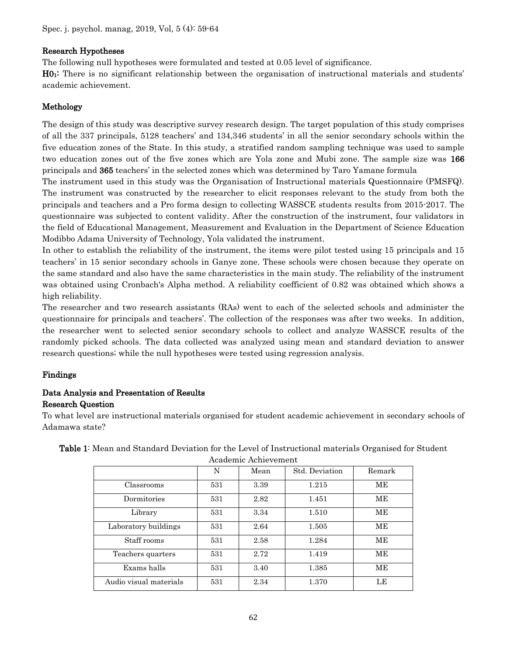## Research Hypotheses

The following null hypotheses were formulated and tested at 0.05 level of significance.

H01: There is no significant relationship between the organisation of instructional materials and students' academic achievement.

## Methology

The design of this study was descriptive survey research design. The target population of this study comprises of all the 337 principals, 5128 teachers' and 134,346 students' in all the senior secondary schools within the five education zones of the State. In this study, a stratified random sampling technique was used to sample two education zones out of the five zones which are Yola zone and Mubi zone. The sample size was 166 principals and 365 teachers' in the selected zones which was determined by Taro Yamane formula

The instrument used in this study was the Organisation of Instructional materials Questionnaire (PMSFQ). The instrument was constructed by the researcher to elicit responses relevant to the study from both the principals and teachers and a Pro forma design to collecting WASSCE students results from 2015-2017. The questionnaire was subjected to content validity. After the construction of the instrument, four validators in the field of Educational Management, Measurement and Evaluation in the Department of Science Education Modibbo Adama University of Technology, Yola validated the instrument.

In other to establish the reliability of the instrument, the items were pilot tested using 15 principals and 15 teachers' in 15 senior secondary schools in Ganye zone. These schools were chosen because they operate on the same standard and also have the same characteristics in the main study. The reliability of the instrument was obtained using Cronbach's Alpha method. A reliability coefficient of 0.82 was obtained which shows a high reliability.

The researcher and two research assistants (RAs) went to each of the selected schools and administer the questionnaire for principals and teachers'. The collection of the responses was after two weeks. In addition, the researcher went to selected senior secondary schools to collect and analyze WASSCE results of the randomly picked schools. The data collected was analyzed using mean and standard deviation to answer research questions; while the null hypotheses were tested using regression analysis.

## Findings

## Data Analysis and Presentation of Results Research Question

To what level are instructional materials organised for student academic achievement in secondary schools of Adamawa state?

|                        | N   | Mean | Std. Deviation | Remark |
|------------------------|-----|------|----------------|--------|
| Classrooms             | 531 | 3.39 | 1.215          | MЕ     |
| Dormitories            | 531 | 2.82 | 1.451          | MЕ     |
| Library                | 531 | 3.34 | 1.510          | MЕ     |
| Laboratory buildings   | 531 | 2.64 | 1.505          | MЕ     |
| Staff rooms            | 531 | 2.58 | 1.284          | MЕ     |
| Teachers quarters      | 531 | 2.72 | 1.419          | MЕ     |
| Exams halls            | 531 | 3.40 | 1.385          | MЕ     |
| Audio visual materials | 531 | 2.34 | 1.370          | LE     |

Table 1: Mean and Standard Deviation for the Level of Instructional materials Organised for Student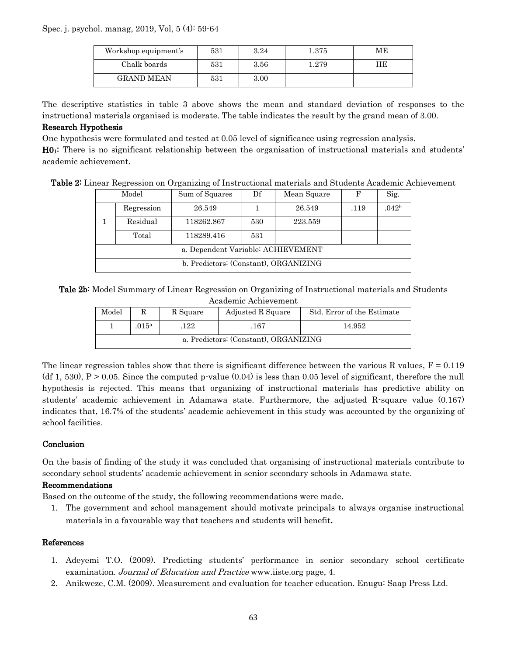#### Spec. j. psychol. manag, 2019, Vol, 5 (4): 59-64

| Workshop equipment's | 531 | 3.24 | $1.375\,$ | МE |
|----------------------|-----|------|-----------|----|
| Chalk boards         | 531 | 3.56 | 1.279     | HЕ |
| <b>GRAND MEAN</b>    | 531 | 3.00 |           |    |

The descriptive statistics in table 3 above shows the mean and standard deviation of responses to the instructional materials organised is moderate. The table indicates the result by the grand mean of 3.00.

#### Research Hypothesis

One hypothesis were formulated and tested at 0.05 level of significance using regression analysis.

H01: There is no significant relationship between the organisation of instructional materials and students' academic achievement.

|  |  |  |  |  | Table 2: Linear Regression on Organizing of Instructional materials and Students Academic Achievement |  |
|--|--|--|--|--|-------------------------------------------------------------------------------------------------------|--|
|--|--|--|--|--|-------------------------------------------------------------------------------------------------------|--|

|                                       | Model      | Sum of Squares | Df  | Mean Square | F    | Sig.              |
|---------------------------------------|------------|----------------|-----|-------------|------|-------------------|
|                                       | Regression | 26.549         |     | 26.549      | .119 | .042 <sup>b</sup> |
|                                       | Residual   | 118262.867     | 530 | 223.559     |      |                   |
|                                       | Total      | 118289.416     | 531 |             |      |                   |
| a. Dependent Variable: ACHIEVEMENT    |            |                |     |             |      |                   |
| b. Predictors: (Constant), ORGANIZING |            |                |     |             |      |                   |

Tale 2b: Model Summary of Linear Regression on Organizing of Instructional materials and Students Academic Achievement

| Model                                 |       | R Square | Adjusted R Square | Std. Error of the Estimate |  |  |
|---------------------------------------|-------|----------|-------------------|----------------------------|--|--|
|                                       | .015a | 122      | .167              | 14.952                     |  |  |
| a. Predictors: (Constant), ORGANIZING |       |          |                   |                            |  |  |

The linear regression tables show that there is significant difference between the various R values,  $F = 0.119$ (df 1, 530),  $P > 0.05$ . Since the computed p-value (0.04) is less than 0.05 level of significant, therefore the null hypothesis is rejected. This means that organizing of instructional materials has predictive ability on students' academic achievement in Adamawa state. Furthermore, the adjusted R-square value (0.167) indicates that, 16.7% of the students' academic achievement in this study was accounted by the organizing of school facilities.

## Conclusion

On the basis of finding of the study it was concluded that organising of instructional materials contribute to secondary school students' academic achievement in senior secondary schools in Adamawa state.

## Recommendations

Based on the outcome of the study, the following recommendations were made.

1. The government and school management should motivate principals to always organise instructional materials in a favourable way that teachers and students will benefit.

## References

- 1. Adeyemi T.O. (2009). Predicting students' performance in senior secondary school certificate examination. Journal of Education and Practice www.iiste.org page, 4.
- 2. Anikweze, C.M. (2009). Measurement and evaluation for teacher education. Enugu: Saap Press Ltd.